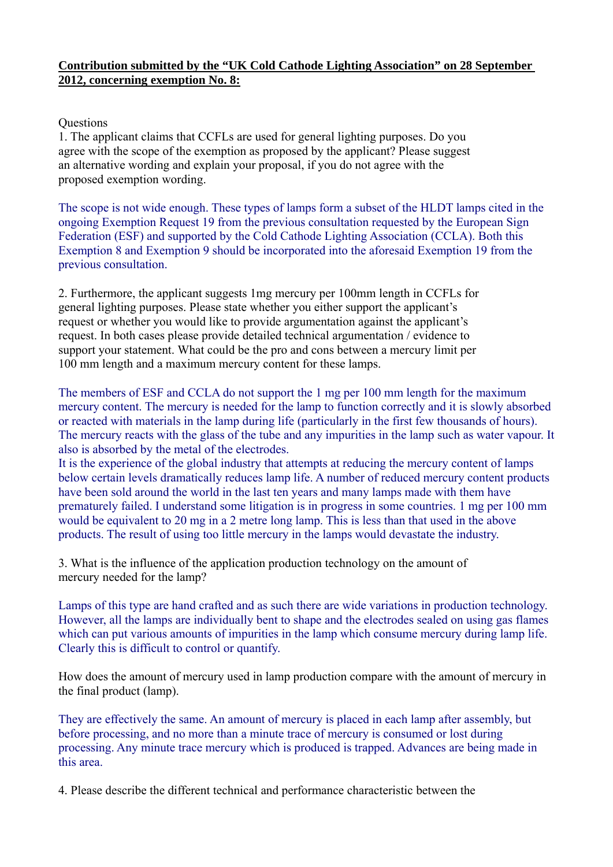## **Contribution submitted by the "UK Cold Cathode Lighting Association" on 28 September 2012, concerning exemption No. 8:**

## **Ouestions**

1. The applicant claims that CCFLs are used for general lighting purposes. Do you agree with the scope of the exemption as proposed by the applicant? Please suggest an alternative wording and explain your proposal, if you do not agree with the proposed exemption wording.

The scope is not wide enough. These types of lamps form a subset of the HLDT lamps cited in the ongoing Exemption Request 19 from the previous consultation requested by the European Sign Federation (ESF) and supported by the Cold Cathode Lighting Association (CCLA). Both this Exemption 8 and Exemption 9 should be incorporated into the aforesaid Exemption 19 from the previous consultation.

2. Furthermore, the applicant suggests 1mg mercury per 100mm length in CCFLs for general lighting purposes. Please state whether you either support the applicant's request or whether you would like to provide argumentation against the applicant's request. In both cases please provide detailed technical argumentation / evidence to support your statement. What could be the pro and cons between a mercury limit per 100 mm length and a maximum mercury content for these lamps.

The members of ESF and CCLA do not support the 1 mg per 100 mm length for the maximum mercury content. The mercury is needed for the lamp to function correctly and it is slowly absorbed or reacted with materials in the lamp during life (particularly in the first few thousands of hours). The mercury reacts with the glass of the tube and any impurities in the lamp such as water vapour. It also is absorbed by the metal of the electrodes.

It is the experience of the global industry that attempts at reducing the mercury content of lamps below certain levels dramatically reduces lamp life. A number of reduced mercury content products have been sold around the world in the last ten years and many lamps made with them have prematurely failed. I understand some litigation is in progress in some countries. 1 mg per 100 mm would be equivalent to 20 mg in a 2 metre long lamp. This is less than that used in the above products. The result of using too little mercury in the lamps would devastate the industry.

3. What is the influence of the application production technology on the amount of mercury needed for the lamp?

Lamps of this type are hand crafted and as such there are wide variations in production technology. However, all the lamps are individually bent to shape and the electrodes sealed on using gas flames which can put various amounts of impurities in the lamp which consume mercury during lamp life. Clearly this is difficult to control or quantify.

How does the amount of mercury used in lamp production compare with the amount of mercury in the final product (lamp).

They are effectively the same. An amount of mercury is placed in each lamp after assembly, but before processing, and no more than a minute trace of mercury is consumed or lost during processing. Any minute trace mercury which is produced is trapped. Advances are being made in this area.

4. Please describe the different technical and performance characteristic between the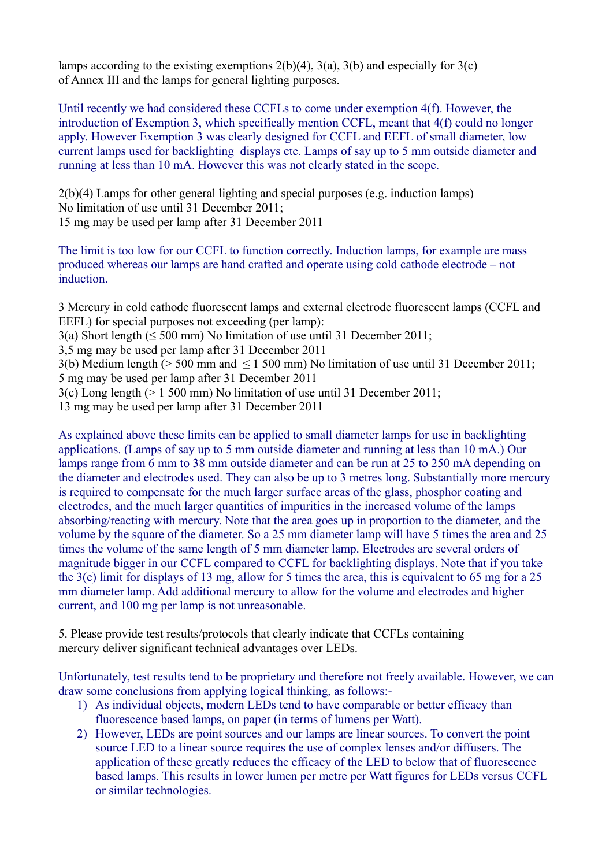lamps according to the existing exemptions  $2(b)(4)$ ,  $3(a)$ ,  $3(b)$  and especially for  $3(c)$ of Annex III and the lamps for general lighting purposes.

Until recently we had considered these CCFLs to come under exemption 4(f). However, the introduction of Exemption 3, which specifically mention CCFL, meant that 4(f) could no longer apply. However Exemption 3 was clearly designed for CCFL and EEFL of small diameter, low current lamps used for backlighting displays etc. Lamps of say up to 5 mm outside diameter and running at less than 10 mA. However this was not clearly stated in the scope.

2(b)(4) Lamps for other general lighting and special purposes (e.g. induction lamps) No limitation of use until 31 December 2011; 15 mg may be used per lamp after 31 December 2011

The limit is too low for our CCFL to function correctly. Induction lamps, for example are mass produced whereas our lamps are hand crafted and operate using cold cathode electrode – not induction.

3 Mercury in cold cathode fluorescent lamps and external electrode fluorescent lamps (CCFL and EEFL) for special purposes not exceeding (per lamp):

3(a) Short length ( $\leq$  500 mm) No limitation of use until 31 December 2011;

3,5 mg may be used per lamp after 31 December 2011

3(b) Medium length (> 500 mm and ≤ 1 500 mm) No limitation of use until 31 December 2011; 5 mg may be used per lamp after 31 December 2011

3(c) Long length (> 1 500 mm) No limitation of use until 31 December 2011;

13 mg may be used per lamp after 31 December 2011

As explained above these limits can be applied to small diameter lamps for use in backlighting applications. (Lamps of say up to 5 mm outside diameter and running at less than 10 mA.) Our lamps range from 6 mm to 38 mm outside diameter and can be run at 25 to 250 mA depending on the diameter and electrodes used. They can also be up to 3 metres long. Substantially more mercury is required to compensate for the much larger surface areas of the glass, phosphor coating and electrodes, and the much larger quantities of impurities in the increased volume of the lamps absorbing/reacting with mercury. Note that the area goes up in proportion to the diameter, and the volume by the square of the diameter. So a 25 mm diameter lamp will have 5 times the area and 25 times the volume of the same length of 5 mm diameter lamp. Electrodes are several orders of magnitude bigger in our CCFL compared to CCFL for backlighting displays. Note that if you take the 3(c) limit for displays of 13 mg, allow for 5 times the area, this is equivalent to 65 mg for a 25 mm diameter lamp. Add additional mercury to allow for the volume and electrodes and higher current, and 100 mg per lamp is not unreasonable.

5. Please provide test results/protocols that clearly indicate that CCFLs containing mercury deliver significant technical advantages over LEDs.

Unfortunately, test results tend to be proprietary and therefore not freely available. However, we can draw some conclusions from applying logical thinking, as follows:-

- 1) As individual objects, modern LEDs tend to have comparable or better efficacy than fluorescence based lamps, on paper (in terms of lumens per Watt).
- 2) However, LEDs are point sources and our lamps are linear sources. To convert the point source LED to a linear source requires the use of complex lenses and/or diffusers. The application of these greatly reduces the efficacy of the LED to below that of fluorescence based lamps. This results in lower lumen per metre per Watt figures for LEDs versus CCFL or similar technologies.